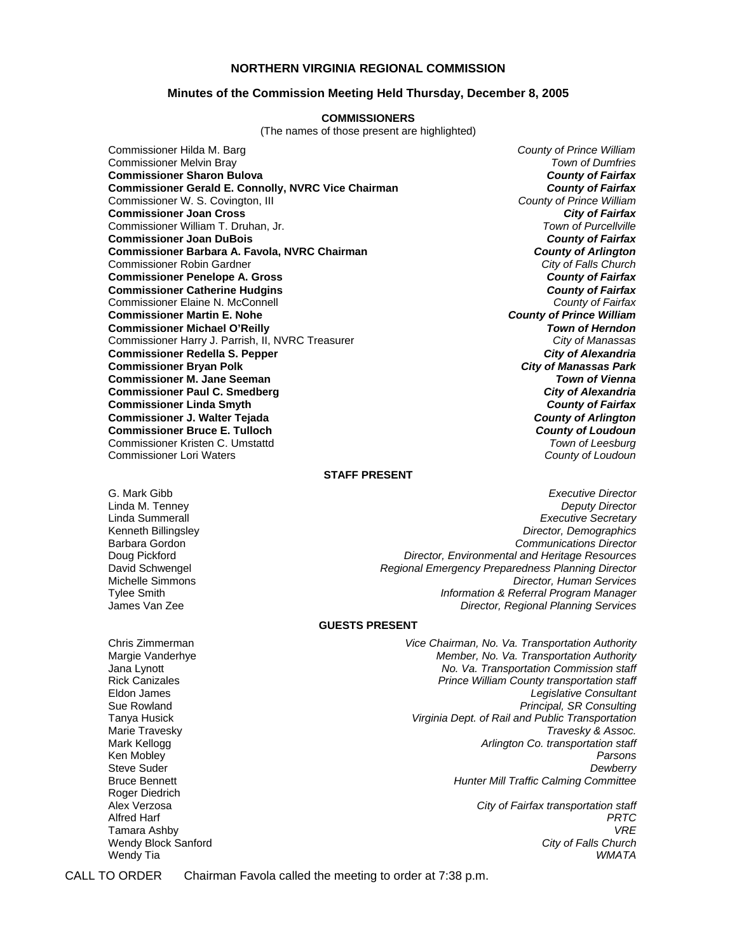#### **NORTHERN VIRGINIA REGIONAL COMMISSION**

#### **Minutes of the Commission Meeting Held Thursday, December 8, 2005**

#### **COMMISSIONERS**

(The names of those present are highlighted)

Commissioner Hilda M. Barg *County of Prince William* Commissioner Melvin Bray *Town of Dumfries* **Commissioner Sharon Bulova** *County of Fairfax* **Commissioner Gerald E. Connolly, NVRC Vice Chairman** *County of Fairfax**County of Fairfax**Commissioner W. S. Covington, III* Commissioner W. S. Covington, III *County of Prince William* **Commissioner Joan Cross** *City of Fairfax* Commissioner William T. Druhan, Jr. **Commissioner Joan DuBois** *County of Fairfax* **Commissioner Barbara A. Favola, NVRC Chairman** *County of Arlington* Commissioner Robin Gardner *City of Falls Church* **Commissioner Penelope A. Gross** *County of Fairfax* **Commissioner Catherine Hudgins** *County of Fairfax* Commissioner Elaine N. McConnell *County of Fairfax* **Commissioner Martin E. Nohe** *County of Prince William* **Commissioner Michael O'Reilly** *Town of Herndon* Commissioner Harry J. Parrish, II, NVRC Treasurer *City of Manassas* **Commissioner Redella S. Pepper** *City of Alexandria* **Commissioner Bryan Polk** *City of Manassas Park* **Commissioner M. Jane Seeman** *Town of Vienna* **Commissioner Paul C. Smedberg** *City of Alexandria* **Commissioner Linda Smyth Commissioner J. Walter Tejada** *County of Arlington* **Commissioner Bruce E. Tulloch** *County of Loudoun* Commissioner Kristen C. Umstattd *Town of Leesburg* Commissioner Lori Waters *County of Loudoun*

#### **STAFF PRESENT**

G. Mark Gibb *Executive Director* Linda M. Tenney *Deputy Director* Linda Summerall *Executive Secretary* Kenneth Billingsley *Director, Demographics* Barbara Gordon *Communications Director* **Director, Environmental and Heritage Resources** David Schwengel *Regional Emergency Preparedness Planning Director* Michelle Simmons *Director, Human Services* Tylee Smith *Information & Referral Program Manager* James Van Zee *Director, Regional Planning Services*

#### **GUESTS PRESENT**

Chris Zimmerman *Vice Chairman, No. Va. Transportation Authority* Margie Vanderhye *Member, No. Va. Transportation Authority* Jana Lynott *No. Va. Transportation Commission staff* Rick Canizales *Prince William County transportation staff* Legislative Consultant Sue Rowland *Principal, SR Consulting* Tanya Husick *Virginia Dept. of Rail and Public Transportation* Marie Travesky **Assoc.** The *Marie Travesky & Assoc.* The *Travesky & Assoc.* The *Travesky & Assoc.* Mark Kellogg **Article Co. transportation staff** Archives **Article Co. transportation staff** Ken Mobley *Parsons* Steve Suder *Dewberry* Bruce Bennett *Hunter Mill Traffic Calming Committee*

Alex Verzosa *City of Fairfax transportation staff* Alfred Harf *PRTC* Tamara Ashby *VRE* Wendy Tia *WMATA*

Roger Diedrich

Wendy Block Sanford

CALL TO ORDER Chairman Favola called the meeting to order at 7:38 p.m.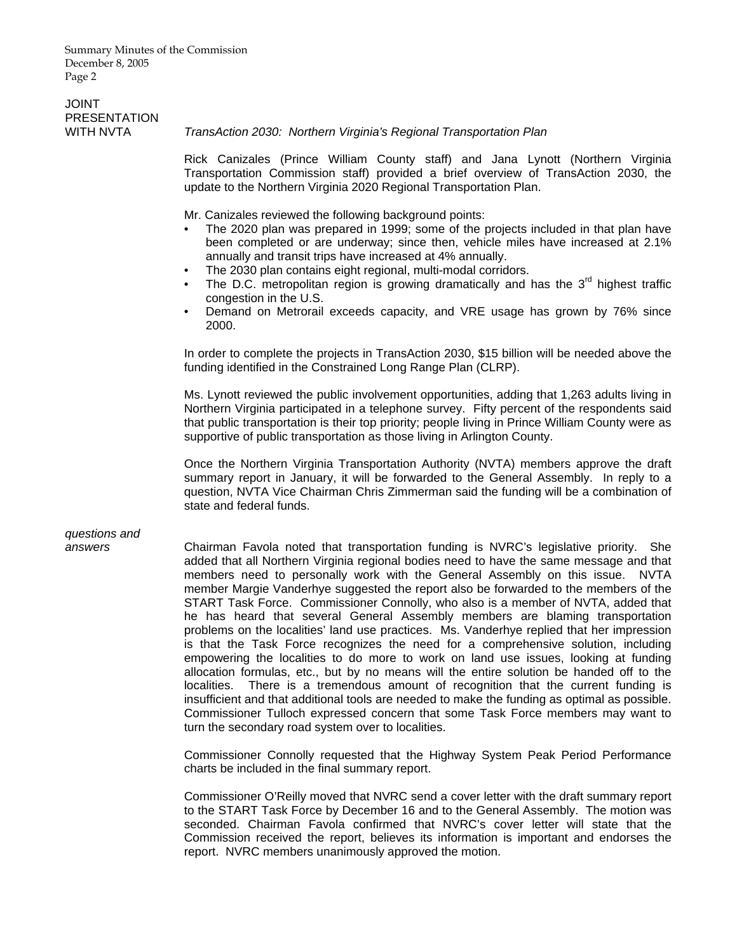Summary Minutes of the Commission December 8, 2005 Page 2

## JOINT PRESENTATION<br>WITH NVTA

#### **TransAction 2030: Northern Virginia's Regional Transportation Plan**

Rick Canizales (Prince William County staff) and Jana Lynott (Northern Virginia Transportation Commission staff) provided a brief overview of TransAction 2030, the update to the Northern Virginia 2020 Regional Transportation Plan.

Mr. Canizales reviewed the following background points:

- The 2020 plan was prepared in 1999; some of the projects included in that plan have been completed or are underway; since then, vehicle miles have increased at 2.1% annually and transit trips have increased at 4% annually.
- The 2030 plan contains eight regional, multi-modal corridors.
- The D.C. metropolitan region is growing dramatically and has the  $3<sup>rd</sup>$  highest traffic congestion in the U.S.
- Demand on Metrorail exceeds capacity, and VRE usage has grown by 76% since 2000.

In order to complete the projects in TransAction 2030, \$15 billion will be needed above the funding identified in the Constrained Long Range Plan (CLRP).

Ms. Lynott reviewed the public involvement opportunities, adding that 1,263 adults living in Northern Virginia participated in a telephone survey. Fifty percent of the respondents said that public transportation is their top priority; people living in Prince William County were as supportive of public transportation as those living in Arlington County.

Once the Northern Virginia Transportation Authority (NVTA) members approve the draft summary report in January, it will be forwarded to the General Assembly. In reply to a question, NVTA Vice Chairman Chris Zimmerman said the funding will be a combination of state and federal funds.

# *questions and*

*answers* Chairman Favola noted that transportation funding is NVRC's legislative priority. She added that all Northern Virginia regional bodies need to have the same message and that members need to personally work with the General Assembly on this issue. NVTA member Margie Vanderhye suggested the report also be forwarded to the members of the START Task Force. Commissioner Connolly, who also is a member of NVTA, added that he has heard that several General Assembly members are blaming transportation problems on the localities' land use practices. Ms. Vanderhye replied that her impression is that the Task Force recognizes the need for a comprehensive solution, including empowering the localities to do more to work on land use issues, looking at funding allocation formulas, etc., but by no means will the entire solution be handed off to the localities. There is a tremendous amount of recognition that the current funding is insufficient and that additional tools are needed to make the funding as optimal as possible. Commissioner Tulloch expressed concern that some Task Force members may want to turn the secondary road system over to localities.

> Commissioner Connolly requested that the Highway System Peak Period Performance charts be included in the final summary report.

> Commissioner O'Reilly moved that NVRC send a cover letter with the draft summary report to the START Task Force by December 16 and to the General Assembly. The motion was seconded. Chairman Favola confirmed that NVRC's cover letter will state that the Commission received the report, believes its information is important and endorses the report. NVRC members unanimously approved the motion.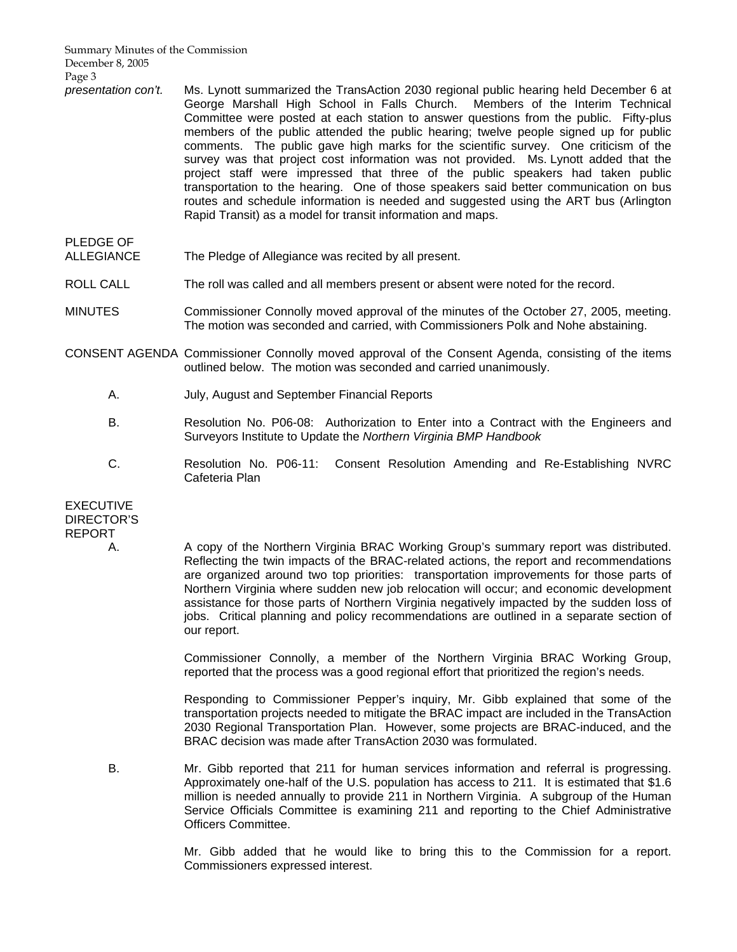Summary Minutes of the Commission December 8, 2005 Page 3

- *presentation con't.* Ms. Lynott summarized the TransAction 2030 regional public hearing held December 6 at George Marshall High School in Falls Church. Members of the Interim Technical Committee were posted at each station to answer questions from the public. Fifty-plus members of the public attended the public hearing; twelve people signed up for public comments. The public gave high marks for the scientific survey. One criticism of the survey was that project cost information was not provided. Ms. Lynott added that the project staff were impressed that three of the public speakers had taken public transportation to the hearing. One of those speakers said better communication on bus routes and schedule information is needed and suggested using the ART bus (Arlington Rapid Transit) as a model for transit information and maps.
- PLEDGE OF ALLEGIANCE The Pledge of Allegiance was recited by all present.
- ROLL CALL The roll was called and all members present or absent were noted for the record.
- MINUTES Commissioner Connolly moved approval of the minutes of the October 27, 2005, meeting. The motion was seconded and carried, with Commissioners Polk and Nohe abstaining.
- CONSENT AGENDA Commissioner Connolly moved approval of the Consent Agenda, consisting of the items outlined below. The motion was seconded and carried unanimously.
	- A. July, August and September Financial Reports
	- B. Resolution No. P06-08: Authorization to Enter into a Contract with the Engineers and Surveyors Institute to Update the *Northern Virginia BMP Handbook*
	- C. Resolution No. P06-11: Consent Resolution Amending and Re-Establishing NVRC Cafeteria Plan

**EXECUTIVE** DIRECTOR'S REPORT

A. A copy of the Northern Virginia BRAC Working Group's summary report was distributed. Reflecting the twin impacts of the BRAC-related actions, the report and recommendations are organized around two top priorities: transportation improvements for those parts of Northern Virginia where sudden new job relocation will occur; and economic development assistance for those parts of Northern Virginia negatively impacted by the sudden loss of jobs. Critical planning and policy recommendations are outlined in a separate section of our report.

> Commissioner Connolly, a member of the Northern Virginia BRAC Working Group, reported that the process was a good regional effort that prioritized the region's needs.

> Responding to Commissioner Pepper's inquiry, Mr. Gibb explained that some of the transportation projects needed to mitigate the BRAC impact are included in the TransAction 2030 Regional Transportation Plan. However, some projects are BRAC-induced, and the BRAC decision was made after TransAction 2030 was formulated.

 B. Mr. Gibb reported that 211 for human services information and referral is progressing. Approximately one-half of the U.S. population has access to 211. It is estimated that \$1.6 million is needed annually to provide 211 in Northern Virginia. A subgroup of the Human Service Officials Committee is examining 211 and reporting to the Chief Administrative Officers Committee.

> Mr. Gibb added that he would like to bring this to the Commission for a report. Commissioners expressed interest.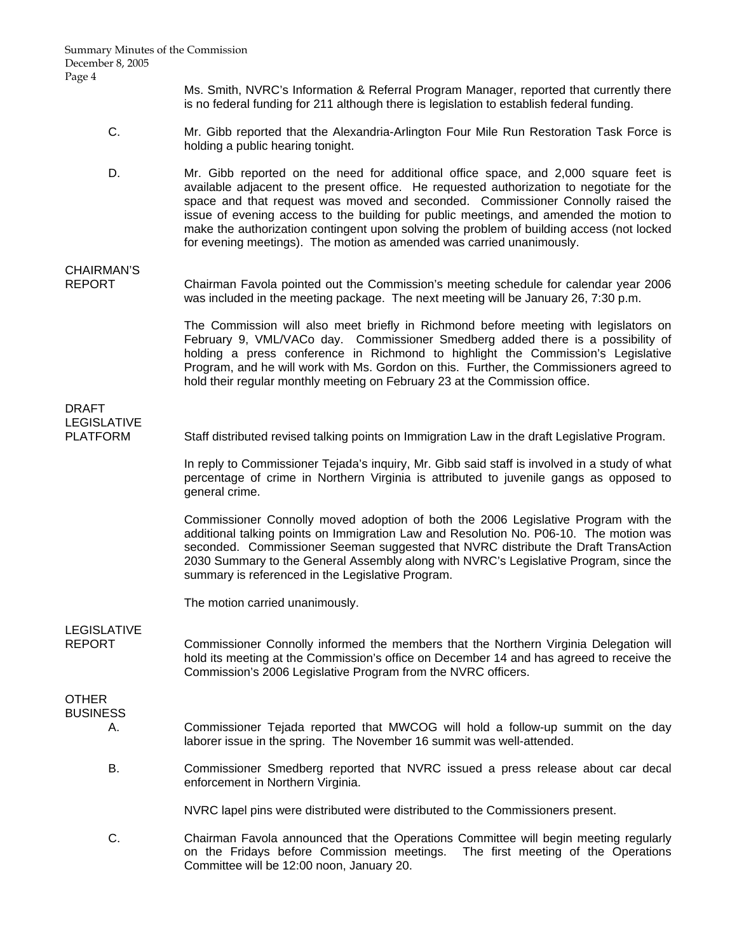Ms. Smith, NVRC's Information & Referral Program Manager, reported that currently there is no federal funding for 211 although there is legislation to establish federal funding.

- C. Mr. Gibb reported that the Alexandria-Arlington Four Mile Run Restoration Task Force is holding a public hearing tonight.
- D. Mr. Gibb reported on the need for additional office space, and 2,000 square feet is available adjacent to the present office. He requested authorization to negotiate for the space and that request was moved and seconded. Commissioner Connolly raised the issue of evening access to the building for public meetings, and amended the motion to make the authorization contingent upon solving the problem of building access (not locked for evening meetings). The motion as amended was carried unanimously.

# CHAIRMAN'S<br>REPORT

Chairman Favola pointed out the Commission's meeting schedule for calendar year 2006 was included in the meeting package. The next meeting will be January 26, 7:30 p.m.

> The Commission will also meet briefly in Richmond before meeting with legislators on February 9, VML/VACo day. Commissioner Smedberg added there is a possibility of holding a press conference in Richmond to highlight the Commission's Legislative Program, and he will work with Ms. Gordon on this. Further, the Commissioners agreed to hold their regular monthly meeting on February 23 at the Commission office.

### DRAFT LEGISLATIVE

PLATFORM Staff distributed revised talking points on Immigration Law in the draft Legislative Program.

 In reply to Commissioner Tejada's inquiry, Mr. Gibb said staff is involved in a study of what percentage of crime in Northern Virginia is attributed to juvenile gangs as opposed to general crime.

 Commissioner Connolly moved adoption of both the 2006 Legislative Program with the additional talking points on Immigration Law and Resolution No. P06-10. The motion was seconded. Commissioner Seeman suggested that NVRC distribute the Draft TransAction 2030 Summary to the General Assembly along with NVRC's Legislative Program, since the summary is referenced in the Legislative Program.

The motion carried unanimously.

LEGISLATIVE

REPORT Commissioner Connolly informed the members that the Northern Virginia Delegation will hold its meeting at the Commission's office on December 14 and has agreed to receive the Commission's 2006 Legislative Program from the NVRC officers.

## **OTHER**

- **BUSINESS** 
	- A. Commissioner Tejada reported that MWCOG will hold a follow-up summit on the day laborer issue in the spring. The November 16 summit was well-attended.
	- B. Commissioner Smedberg reported that NVRC issued a press release about car decal enforcement in Northern Virginia.

NVRC lapel pins were distributed were distributed to the Commissioners present.

 C. Chairman Favola announced that the Operations Committee will begin meeting regularly on the Fridays before Commission meetings. The first meeting of the Operations Committee will be 12:00 noon, January 20.